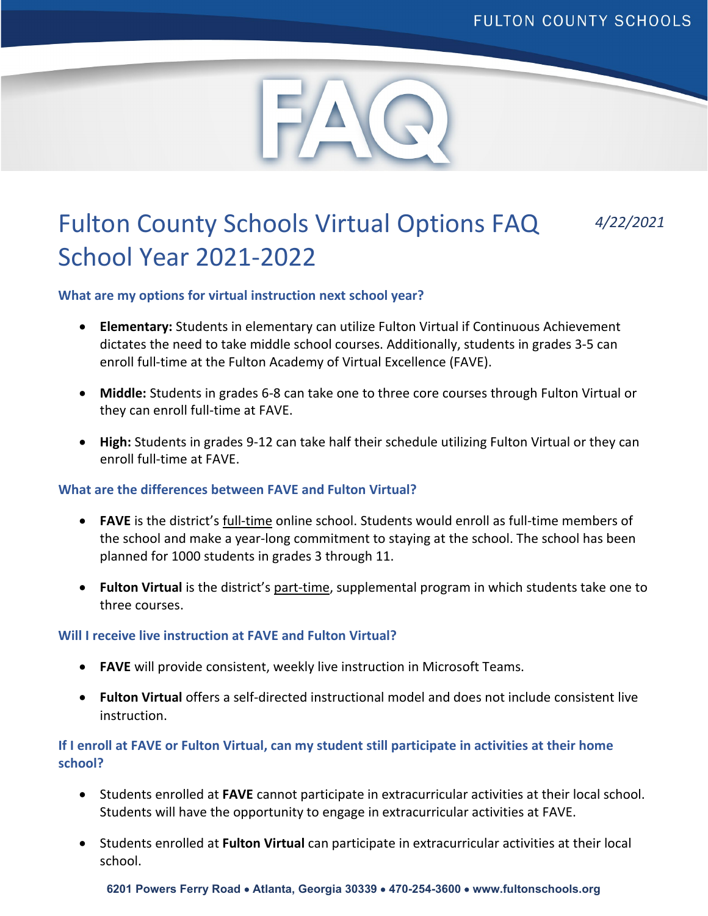

# Fulton County Schools Virtual Options FAQ *4/22/2021* School Year 2021-2022

# **What are my options for virtual instruction next school year?**

- **Elementary:** Students in elementary can utilize Fulton Virtual if Continuous Achievement dictates the need to take middle school courses. Additionally, students in grades 3-5 can enroll full-time at the Fulton Academy of Virtual Excellence (FAVE).
- **Middle:** Students in grades 6-8 can take one to three core courses through Fulton Virtual or they can enroll full-time at FAVE.
- **High:** Students in grades 9-12 can take half their schedule utilizing Fulton Virtual or they can enroll full-time at FAVE.

### **What are the differences between FAVE and Fulton Virtual?**

- **FAVE** is the district's full-time online school. Students would enroll as full-time members of the school and make a year-long commitment to staying at the school. The school has been planned for 1000 students in grades 3 through 11.
- **Fulton Virtual** is the district's part-time, supplemental program in which students take one to three courses.

### **Will I receive live instruction at FAVE and Fulton Virtual?**

- **FAVE** will provide consistent, weekly live instruction in Microsoft Teams.
- **Fulton Virtual** offers a self-directed instructional model and does not include consistent live instruction.

# **If I enroll at FAVE or Fulton Virtual, can my student still participate in activities at their home school?**

- Students enrolled at **FAVE** cannot participate in extracurricular activities at their local school. Students will have the opportunity to engage in extracurricular activities at FAVE.
- Students enrolled at **Fulton Virtual** can participate in extracurricular activities at their local school.

**6201 Powers Ferry Road** • **Atlanta, Georgia 30339** • **470-254-3600** • **www.fultonschools.org**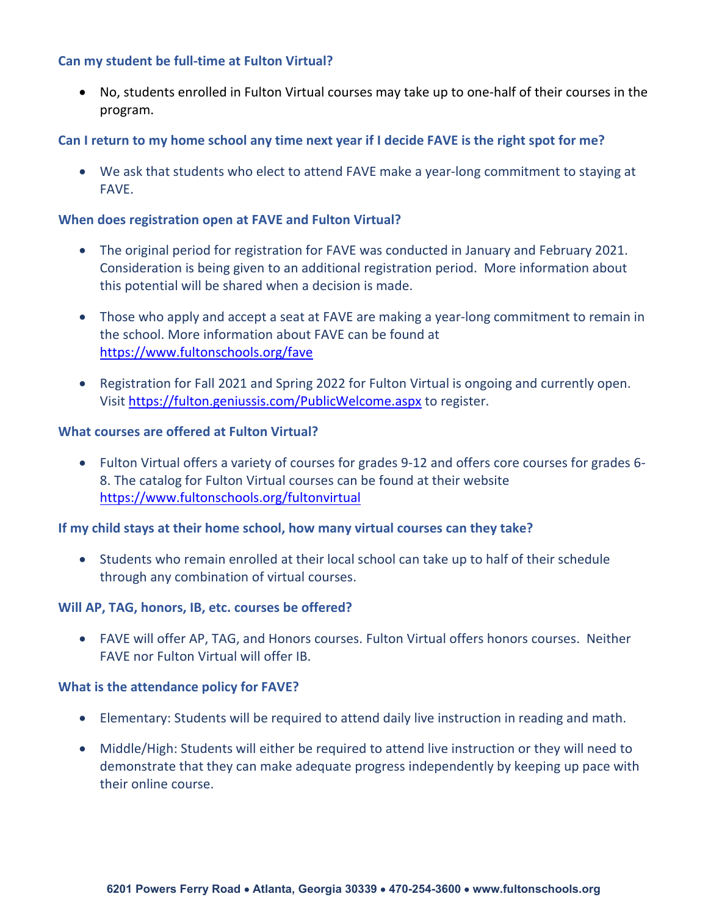## **Can my student be full-time at Fulton Virtual?**

• No, students enrolled in Fulton Virtual courses may take up to one-half of their courses in the program.

# **Can I return to my home school any time next year if I decide FAVE is the right spot for me?**

• We ask that students who elect to attend FAVE make a year-long commitment to staying at FAVE.

## **When does registration open at FAVE and Fulton Virtual?**

- The original period for registration for FAVE was conducted in January and February 2021. Consideration is being given to an additional registration period. More information about this potential will be shared when a decision is made.
- Those who apply and accept a seat at FAVE are making a year-long commitment to remain in the school. More information about FAVE can be found at <https://www.fultonschools.org/fave>
- Registration for Fall 2021 and Spring 2022 for Fulton Virtual is ongoing and currently open. Visit<https://fulton.geniussis.com/PublicWelcome.aspx> to register.

## **What courses are offered at Fulton Virtual?**

• Fulton Virtual offers a variety of courses for grades 9-12 and offers core courses for grades 6- 8. The catalog for Fulton Virtual courses can be found at their website <https://www.fultonschools.org/fultonvirtual>

# **If my child stays at their home school, how many virtual courses can they take?**

• Students who remain enrolled at their local school can take up to half of their schedule through any combination of virtual courses.

# **Will AP, TAG, honors, IB, etc. courses be offered?**

• FAVE will offer AP, TAG, and Honors courses. Fulton Virtual offers honors courses. Neither FAVE nor Fulton Virtual will offer IB.

### **What is the attendance policy for FAVE?**

- Elementary: Students will be required to attend daily live instruction in reading and math.
- Middle/High: Students will either be required to attend live instruction or they will need to demonstrate that they can make adequate progress independently by keeping up pace with their online course.